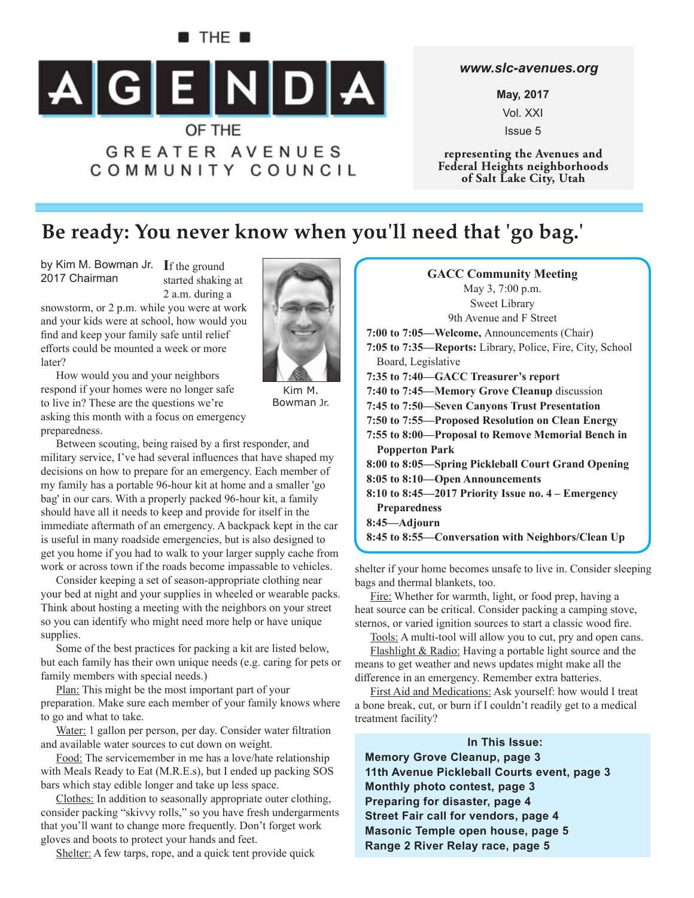# $\blacksquare$  The  $\blacksquare$ AGENDA OF THE **GREATER AVENUES**

# COMMUNITY COUNCIL

#### *www.slc-avenues.org*

**May, 2017** Vol. XXI Issue 5

**representing the Avenues and Federal Heights neighborhoods of Salt Lake City, Utah**

### **Be ready: You never know when you'll need that 'go bag.'**

by Kim M. Bowman Jr. If the ground 2017 Chairman

started shaking at 2 a.m. during a

snowstorm, or 2 p.m. while you were at work and your kids were at school, how would you find and keep your family safe until relief efforts could be mounted a week or more later?



How would you and your neighbors respond if your homes were no longer safe to live in? These are the questions we're asking this month with a focus on emergency preparedness.

Kim M. Bowman Jr.

Between scouting, being raised by a first responder, and military service, I've had several influences that have shaped my decisions on how to prepare for an emergency. Each member of my family has a portable 96-hour kit at home and a smaller 'go bag' in our cars. With a properly packed 96-hour kit, a family should have all it needs to keep and provide for itself in the immediate aftermath of an emergency. A backpack kept in the car is useful in many roadside emergencies, but is also designed to get you home if you had to walk to your larger supply cache from work or across town if the roads become impassable to vehicles.

Consider keeping a set of season-appropriate clothing near your bed at night and your supplies in wheeled or wearable packs. Think about hosting a meeting with the neighbors on your street so you can identify who might need more help or have unique supplies.

Some of the best practices for packing a kit are listed below, but each family has their own unique needs (e.g. caring for pets or family members with special needs.)

Plan: This might be the most important part of your preparation. Make sure each member of your family knows where to go and what to take.

Water: 1 gallon per person, per day. Consider water filtration and available water sources to cut down on weight.

Food: The servicemember in me has a love/hate relationship with Meals Ready to Eat (M.R.E.s), but I ended up packing SOS bars which stay edible longer and take up less space.

Clothes: In addition to seasonally appropriate outer clothing, consider packing "skivvy rolls," so you have fresh undergarments that you'll want to change more frequently. Don't forget work gloves and boots to protect your hands and feet.

Shelter: A few tarps, rope, and a quick tent provide quick

**GACC Community Meeting** May 3, 7:00 p.m. Sweet Library 9th Avenue and F Street **7:00 to 7:05—Welcome,** Announcements (Chair) **7:05 to 7:35—Reports:** Library, Police, Fire, City, School Board, Legislative **7:35 to 7:40—GACC Treasurer's report 7:40 to 7:45 —Memory Grove Cleanup** discussion **7:45 to 7:50—Seven Canyons Trust Presentation 7:50 to 7:55—Proposed Resolution on Clean Energy 7:55 to 8:00—Proposal to Remove Memorial Bench in Popperton Park 8:00 to 8:05—Spring Pickleball Court Grand Opening 8:05 to 8:10—Open Announcements 8:10 to 8:45—2017 Priority Issue no. 4 – Emergency Preparedness 8:45—Adjourn 8:45 to 8:55—Conversation with Neighbors/Clean Up**

shelter if your home becomes unsafe to live in. Consider sleeping bags and thermal blankets, too.

Fire: Whether for warmth, light, or food prep, having a heat source can be critical. Consider packing a camping stove, sternos, or varied ignition sources to start a classic wood fire.

Tools: A multi-tool will allow you to cut, pry and open cans.

Flashlight & Radio: Having a portable light source and the means to get weather and news updates might make all the difference in an emergency. Remember extra batteries.

First Aid and Medications: Ask yourself: how would I treat a bone break, cut, or burn if I couldn't readily get to a medical treatment facility?

#### **In This Issue:**

**Memory Grove Cleanup, page 3 11th Avenue Pickleball Courts event, page 3 Monthly photo contest, page 3 Preparing for disaster, page 4 Street Fair call for vendors, page 4 Masonic Temple open house, page 5 Range 2 River Relay race, page 5**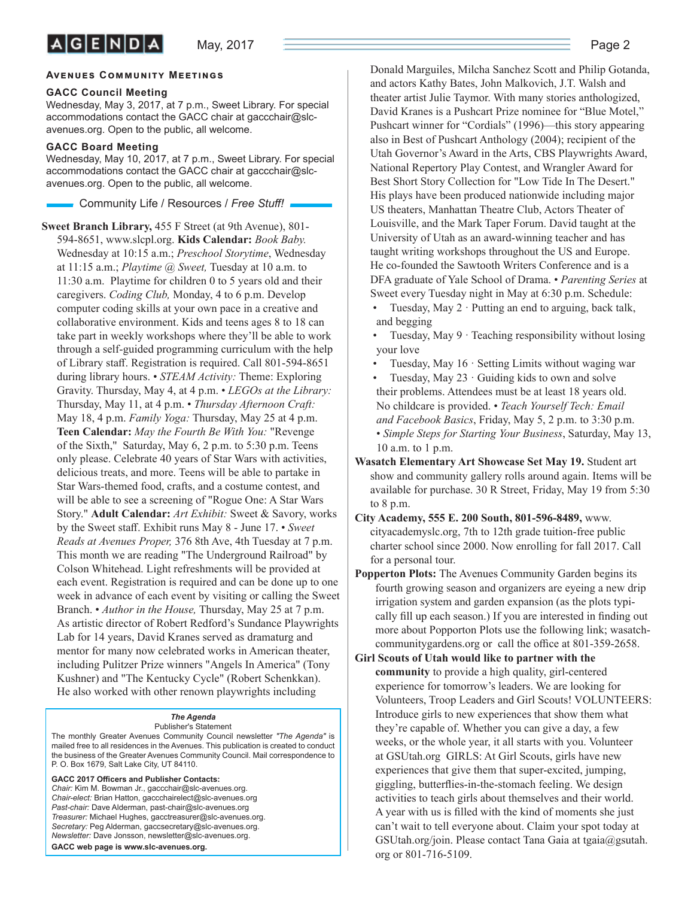#### **AVENUES COMMUNITY MEETINGS**

#### **GACC Council Meeting**

Wednesday, May 3, 2017, at 7 p.m., Sweet Library. For special accommodations contact the GACC chair at gaccchair@slcavenues.org. Open to the public, all welcome.

#### **GACC Board Meeting**

Wednesday, May 10, 2017, at 7 p.m., Sweet Library. For special accommodations contact the GACC chair at gaccchair@slcavenues.org. Open to the public, all welcome.

Community Life / Resources / *Free Stuff !*

**Sweet Branch Library,** 455 F Street (at 9th Avenue), 801- 594-8651, www.slcpl.org. **Kids Calendar:** *Book Baby.* Wednesday at 10:15 a.m.; *Preschool Storytime*, Wednesday at 11:15 a.m.; *Playtime @ Sweet,* Tuesday at 10 a.m. to 11:30 a.m. Playtime for children 0 to 5 years old and their caregivers. *Coding Club,* Monday, 4 to 6 p.m. Develop computer coding skills at your own pace in a creative and collaborative environment. Kids and teens ages 8 to 18 can take part in weekly workshops where they'll be able to work through a self-guided programming curriculum with the help of Library staff. Registration is required. Call 801-594-8651 during library hours. • *STEAM Activity:* Theme: Exploring Gravity. Thursday, May 4, at 4 p.m. • *LEGOs at the Library:* Thursday, May 11, at 4 p.m. • *Thursday Afternoon Craft:* May 18, 4 p.m. *Family Yoga:* Thursday, May 25 at 4 p.m. **Teen Calendar:** *May the Fourth Be With You:* "Revenge of the Sixth," Saturday, May 6, 2 p.m. to 5:30 p.m. Teens only please. Celebrate 40 years of Star Wars with activities, delicious treats, and more. Teens will be able to partake in Star Wars-themed food, crafts, and a costume contest, and will be able to see a screening of "Rogue One: A Star Wars Story." **Adult Calendar:** *Art Exhibit:* Sweet & Savory, works by the Sweet staff . Exhibit runs May 8 - June 17. • *Sweet Reads at Avenues Proper,* 376 8th Ave, 4th Tuesday at 7 p.m. This month we are reading "The Underground Railroad" by Colson Whitehead. Light refreshments will be provided at each event. Registration is required and can be done up to one week in advance of each event by visiting or calling the Sweet Branch. • *Author in the House,* Thursday, May 25 at 7 p.m. As artistic director of Robert Redford's Sundance Playwrights Lab for 14 years, David Kranes served as dramaturg and mentor for many now celebrated works in American theater, including Pulitzer Prize winners "Angels In America" (Tony Kushner) and "The Kentucky Cycle" (Robert Schenkkan). He also worked with other renown playwrights including

#### *The Agenda*

Publisher's Statement The monthly Greater Avenues Community Council newsletter *"The Agenda"* is mailed free to all residences in the Avenues. This publication is created to conduct the business of the Greater Avenues Community Council. Mail correspondence to P. O. Box 1679, Salt Lake City, UT 84110.

GACC 2017 Officers and Publisher Contacts: *Chair:* Kim M. Bowman Jr., gaccchair@slc-avenues.org. *Chair-elect:* Brian Hatton, gaccchairelect@slc-avenues.org *Past-chair:* Dave Alderman, past-chair@slc-avenues.org *Treasurer:* Michael Hughes, gacctreasurer@slc-avenues.org. *Secretary:* Peg Alderman, gaccsecretary@slc-avenues.org. *Newsletter:* Dave Jonsson, newsletter@slc-avenues.org. **GACC web page is www.slc-avenues.org.**

Donald Marguiles, Milcha Sanchez Scott and Philip Gotanda, and actors Kathy Bates, John Malkovich, J.T. Walsh and theater artist Julie Taymor. With many stories anthologized, David Kranes is a Pushcart Prize nominee for "Blue Motel," Pushcart winner for "Cordials" (1996)—this story appearing also in Best of Pushcart Anthology (2004); recipient of the Utah Governor's Award in the Arts, CBS Playwrights Award, National Repertory Play Contest, and Wrangler Award for Best Short Story Collection for "Low Tide In The Desert." His plays have been produced nationwide including major US theaters, Manhattan Theatre Club, Actors Theater of Louisville, and the Mark Taper Forum. David taught at the University of Utah as an award-winning teacher and has taught writing workshops throughout the US and Europe. He co-founded the Sawtooth Writers Conference and is a DFA graduate of Yale School of Drama. • *Parenting Series* at Sweet every Tuesday night in May at 6:30 p.m. Schedule:

- Tuesday, May  $2 \cdot$  Putting an end to arguing, back talk, and begging
- Tuesday, May 9 · Teaching responsibility without losing your love
- Tuesday, May  $16 \cdot$  Setting Limits without waging war
- Tuesday, May  $23 \cdot$  Guiding kids to own and solve their problems. Attendees must be at least 18 years old. No childcare is provided. • *Teach Yourself Tech: Email and Facebook Basics*, Friday, May 5, 2 p.m. to 3:30 p.m. • *Simple Steps for Starting Your Business*, Saturday, May 13,
- 10 a.m. to 1 p.m.
- **Wasatch Elementary Art Showcase Set May 19.** Student art show and community gallery rolls around again. Items will be available for purchase. 30 R Street, Friday, May 19 from 5:30 to 8 p.m.
- **City Academy, 555 E. 200 South, 801-596-8489,** www. cityacademyslc.org, 7th to 12th grade tuition-free public charter school since 2000. Now enrolling for fall 2017. Call for a personal tour.
- **Popperton Plots:** The Avenues Community Garden begins its fourth growing season and organizers are eyeing a new drip irrigation system and garden expansion (as the plots typically fill up each season.) If you are interested in finding out more about Popporton Plots use the following link; wasatchcommunitygardens.org or call the office at 801-359-2658.
- **Girl Scouts of Utah would like to partner with the community** to provide a high quality, girl-centered experience for tomorrow's leaders. We are looking for Volunteers, Troop Leaders and Girl Scouts! VOLUNTEERS: Introduce girls to new experiences that show them what they're capable of. Whether you can give a day, a few weeks, or the whole year, it all starts with you. Volunteer at GSUtah.org GIRLS: At Girl Scouts, girls have new experiences that give them that super-excited, jumping, giggling, butterflies-in-the-stomach feeling. We design activities to teach girls about themselves and their world. A year with us is filled with the kind of moments she just can't wait to tell everyone about. Claim your spot today at GSUtah.org/join. Please contact Tana Gaia at tgaia@gsutah. org or 801-716-5109.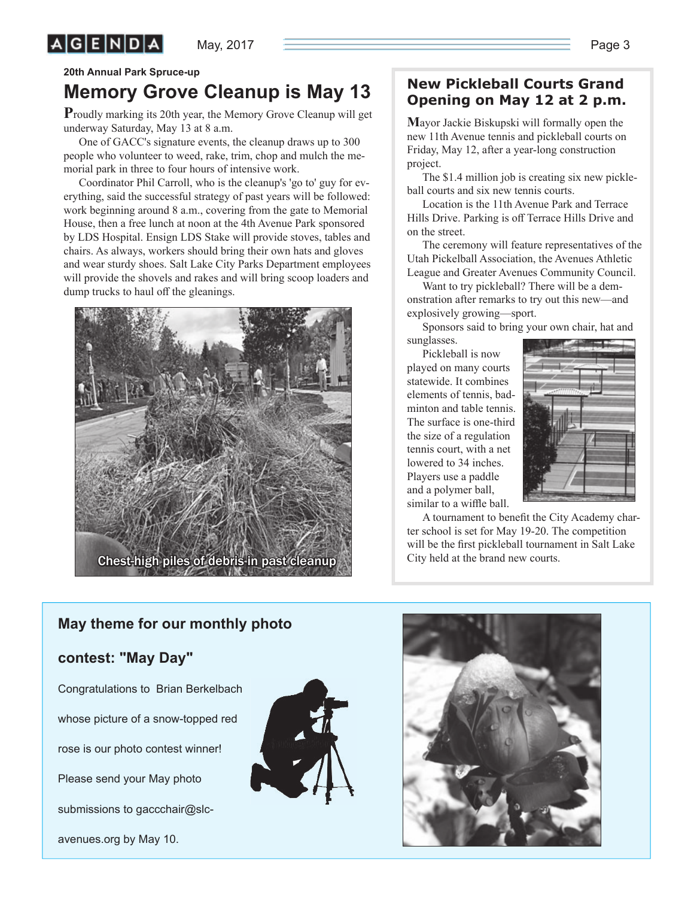$A$  $G$  $E$  $N$  $D$  $A$ 

## **Memory Grove Cleanup is May 13**

**P**roudly marking its 20th year, the Memory Grove Cleanup will get underway Saturday, May 13 at 8 a.m.

One of GACC's signature events, the cleanup draws up to 300 people who volunteer to weed, rake, trim, chop and mulch the memorial park in three to four hours of intensive work.

Coordinator Phil Carroll, who is the cleanup's 'go to' guy for everything, said the successful strategy of past years will be followed: work beginning around 8 a.m., covering from the gate to Memorial House, then a free lunch at noon at the 4th Avenue Park sponsored by LDS Hospital. Ensign LDS Stake will provide stoves, tables and chairs. As always, workers should bring their own hats and gloves and wear sturdy shoes. Salt Lake City Parks Department employees will provide the shovels and rakes and will bring scoop loaders and dump trucks to haul off the gleanings.



### **New Pickleball Courts Grand Opening on May 12 at 2 p.m.**

**M**ayor Jackie Biskupski will formally open the new 11th Avenue tennis and pickleball courts on Friday, May 12, after a year-long construction project.

The \$1.4 million job is creating six new pickleball courts and six new tennis courts.

Location is the 11th Avenue Park and Terrace Hills Drive. Parking is off Terrace Hills Drive and on the street.

The ceremony will feature representatives of the Utah Pickelball Association, the Avenues Athletic League and Greater Avenues Community Council.

Want to try pickleball? There will be a demonstration after remarks to try out this new—and explosively growing—sport.

Sponsors said to bring your own chair, hat and sunglasses.

Pickleball is now played on many courts statewide. It combines elements of tennis, badminton and table tennis. The surface is one-third the size of a regulation tennis court, with a net lowered to 34 inches. Players use a paddle and a polymer ball, similar to a wiffle ball.



A tournament to benefit the City Academy charter school is set for May 19-20. The competition will be the first pickleball tournament in Salt Lake City held at the brand new courts.

### **May theme for our monthly photo**

#### **contest: "May Day"**

Congratulations to Brian Berkelbach whose picture of a snow-topped red rose is our photo contest winner! Please send your May photo submissions to gaccchair@slcavenues.org by May 10.



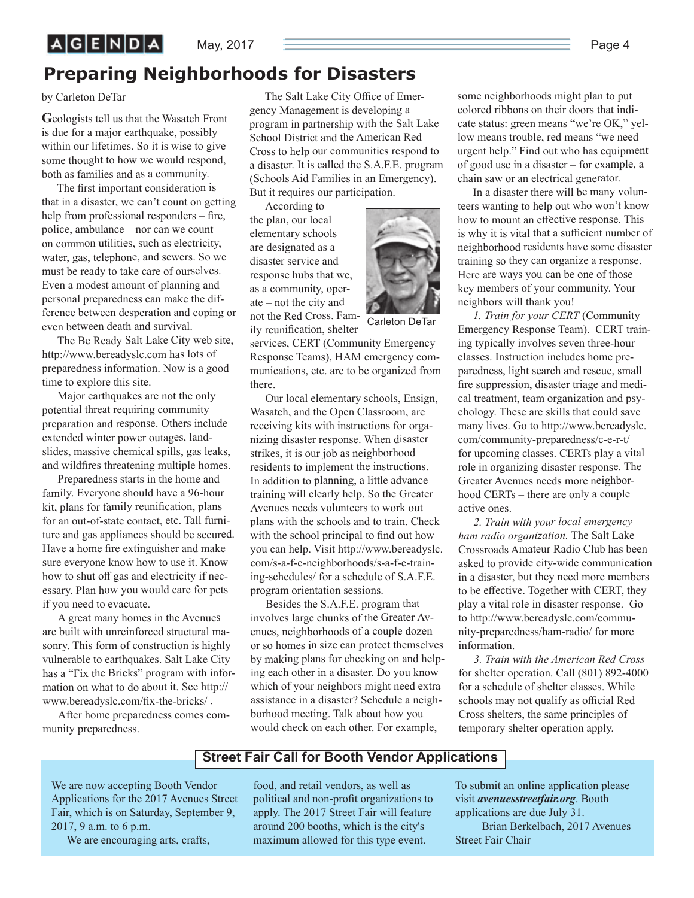### $A$  $G$  $E$  $N$  $D$  $A$

#### May, 2017 <del>Page 4 and 2019 Page 4</del> and 2017 Page 4

### **Preparing Neighborhoods for Disasters**

#### by Carleton DeTar

**G**eologists tell us that the Wasatch Front is due for a major earthquake, possibly within our lifetimes. So it is wise to give some thought to how we would respond, both as families and as a community.

The first important consideration is that in a disaster, we can't count on getting help from professional responders  $-$  fire, police, ambulance – nor can we count on common utilities, such as electricity, water, gas, telephone, and sewers. So we must be ready to take care of ourselves. Even a modest amount of planning and personal preparedness can make the difference between desperation and coping or even between death and survival.

The Be Ready Salt Lake City web site, http://www.bereadyslc.com has lots of preparedness information. Now is a good time to explore this site.

Major earthquakes are not the only potential threat requiring community preparation and response. Others include extended winter power outages, landslides, massive chemical spills, gas leaks, and wildfires threatening multiple homes.

Preparedness starts in the home and family. Everyone should have a 96-hour kit, plans for family reunification, plans for an out-of-state contact, etc. Tall furniture and gas appliances should be secured. Have a home fire extinguisher and make sure everyone know how to use it. Know how to shut off gas and electricity if necessary. Plan how you would care for pets if you need to evacuate.

A great many homes in the Avenues are built with unreinforced structural masonry. This form of construction is highly vulnerable to earthquakes. Salt Lake City has a "Fix the Bricks" program with information on what to do about it. See http:// www.bereadyslc.com/fix-the-bricks/.

After home preparedness comes community preparedness.

The Salt Lake City Office of Emergency Management is developing a program in partnership with the Salt Lake School District and the American Red Cross to help our communities respond to a disaster. It is called the S.A.F.E. program (Schools Aid Families in an Emergency). But it requires our participation.

According to the plan, our local elementary schools are designated as a disaster service and response hubs that we, as a community, operate – not the city and not the Red Cross. Family reunification, shelter



Carleton DeTar

services, CERT (Community Emergency Response Teams), HAM emergency communications, etc. are to be organized from there.

Our local elementary schools, Ensign, Wasatch, and the Open Classroom, are receiving kits with instructions for organizing disaster response. When disaster strikes, it is our job as neighborhood residents to implement the instructions. In addition to planning, a little advance training will clearly help. So the Greater Avenues needs volunteers to work out plans with the schools and to train. Check with the school principal to find out how you can help. Visit http://www.bereadyslc. com/s-a-f-e-neighborhoods/s-a-f-e-training-schedules/ for a schedule of S.A.F.E. program orientation sessions.

Besides the S.A.F.E. program that involves large chunks of the Greater Avenues, neighborhoods of a couple dozen or so homes in size can protect themselves by making plans for checking on and helping each other in a disaster. Do you know which of your neighbors might need extra assistance in a disaster? Schedule a neighborhood meeting. Talk about how you would check on each other. For example,

some neighborhoods might plan to put colored ribbons on their doors that indicate status: green means "we're OK," yellow means trouble, red means "we need urgent help." Find out who has equipment of good use in a disaster – for example, a chain saw or an electrical generator.

In a disaster there will be many volunteers wanting to help out who won't know how to mount an effective response. This is why it is vital that a sufficient number of neighborhood residents have some disaster training so they can organize a response. Here are ways you can be one of those key members of your community. Your neighbors will thank you!

*1. Train for your CERT* (Community Emergency Response Team). CERT training typically involves seven three-hour classes. Instruction includes home preparedness, light search and rescue, small fire suppression, disaster triage and medical treatment, team organization and psychology. These are skills that could save many lives. Go to http://www.bereadyslc. com/community-preparedness/c-e-r-t/ for upcoming classes. CERTs play a vital role in organizing disaster response. The Greater Avenues needs more neighborhood CERTs – there are only a couple active ones.

*2. Train with your local emergency ham radio organization.* The Salt Lake Crossroads Amateur Radio Club has been asked to provide city-wide communication in a disaster, but they need more members to be effective. Together with CERT, they play a vital role in disaster response. Go to http://www.bereadyslc.com/community-preparedness/ham-radio/ for more information.

*3. Train with the American Red Cross* for shelter operation. Call (801) 892-4000 for a schedule of shelter classes. While schools may not qualify as official Red Cross shelters, the same principles of temporary shelter operation apply.

#### **Street Fair Call for Booth Vendor Applications**

We are now accepting Booth Vendor Applications for the 2017 Avenues Street Fair, which is on Saturday, September 9, 2017, 9 a.m. to 6 p.m.

We are encouraging arts, crafts,

food, and retail vendors, as well as political and non-profit organizations to apply. The 2017 Street Fair will feature around 200 booths, which is the city's maximum allowed for this type event.

To submit an online application please visit *avenuesstreetfair.org*. Booth applications are due July 31.

—Brian Berkelbach, 2017 Avenues Street Fair Chair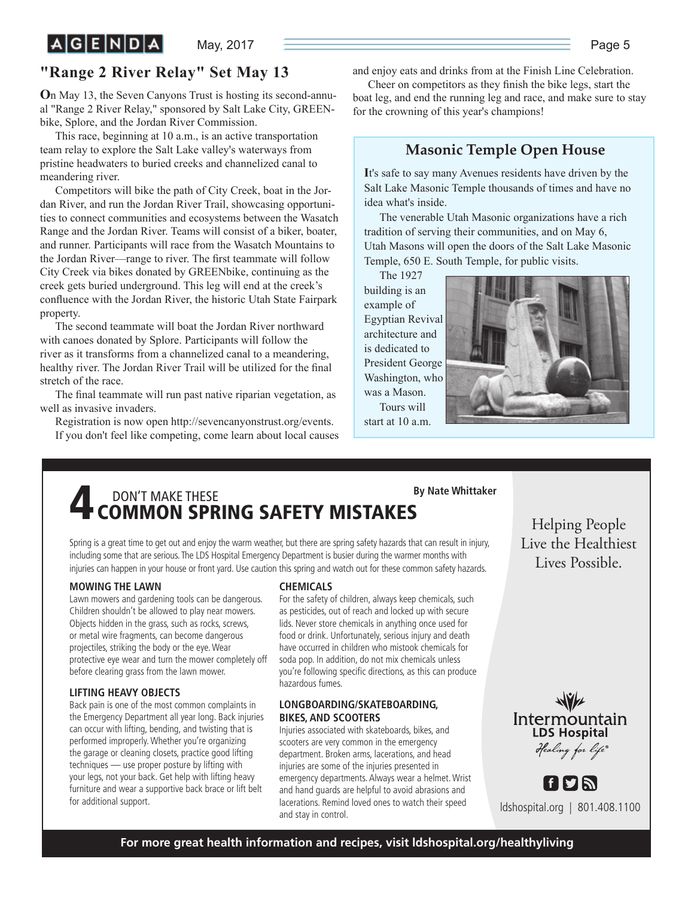**"Range 2 River Relay" Set May 13**

**O**n May 13, the Seven Canyons Trust is hosting its second-annual "Range 2 River Relay," sponsored by Salt Lake City, GREENbike, Splore, and the Jordan River Commission.

This race, beginning at 10 a.m., is an active transportation team relay to explore the Salt Lake valley's waterways from pristine headwaters to buried creeks and channelized canal to meandering river.

Competitors will bike the path of City Creek, boat in the Jordan River, and run the Jordan River Trail, showcasing opportunities to connect communities and ecosystems between the Wasatch Range and the Jordan River. Teams will consist of a biker, boater, and runner. Participants will race from the Wasatch Mountains to the Jordan River-range to river. The first teammate will follow City Creek via bikes donated by GREENbike, continuing as the creek gets buried underground. This leg will end at the creek's confluence with the Jordan River, the historic Utah State Fairpark property.

The second teammate will boat the Jordan River northward with canoes donated by Splore. Participants will follow the river as it transforms from a channelized canal to a meandering, healthy river. The Jordan River Trail will be utilized for the final stretch of the race.

The final teammate will run past native riparian vegetation, as well as invasive invaders.

Registration is now open http://sevencanyonstrust.org/events. If you don't feel like competing, come learn about local causes and enjoy eats and drinks from at the Finish Line Celebration.

Cheer on competitors as they finish the bike legs, start the boat leg, and end the running leg and race, and make sure to stay for the crowning of this year's champions!

#### **Masonic Temple Open House**

**I**t's safe to say many Avenues residents have driven by the Salt Lake Masonic Temple thousands of times and have no idea what's inside.

The venerable Utah Masonic organizations have a rich tradition of serving their communities, and on May 6, Utah Masons will open the doors of the Salt Lake Masonic Temple, 650 E. South Temple, for public visits.

The 1927 building is an example of Egyptian Revival architecture and is dedicated to President George Washington, who was a Mason. Tours will



start at 10 a.m.

### **DON'T MAKE THESE <b>4** DON'T MAKE THESE **4** COMMON SPRING SAFETY MISTAKES  **By Nate Whittaker**

Spring is a great time to get out and enjoy the warm weather, but there are spring safety hazards that can result in injury, including some that are serious. The LDS Hospital Emergency Department is busier during the warmer months with injuries can happen in your house or front yard. Use caution this spring and watch out for these common safety hazards.

#### **MOWING THE LAWN**

Lawn mowers and gardening tools can be dangerous. Children shouldn't be allowed to play near mowers. Objects hidden in the grass, such as rocks, screws, or metal wire fragments, can become dangerous projectiles, striking the body or the eye. Wear protective eye wear and turn the mower completely off before clearing grass from the lawn mower.

#### **LIFTING HEAVY OBJECTS**

Back pain is one of the most common complaints in the Emergency Department all year long. Back injuries can occur with lifting, bending, and twisting that is performed improperly. Whether you're organizing the garage or cleaning closets, practice good lifting techniques — use proper posture by lifting with your legs, not your back. Get help with lifting heavy furniture and wear a supportive back brace or lift belt for additional support.

#### **CHEMICALS**

For the safety of children, always keep chemicals, such as pesticides, out of reach and locked up with secure lids. Never store chemicals in anything once used for food or drink. Unfortunately, serious injury and death have occurred in children who mistook chemicals for soda pop. In addition, do not mix chemicals unless you're following specific directions, as this can produce hazardous fumes.

#### **LONGBOARDING/SKATEBOARDING, BIKES, AND SCOOTERS**

Injuries associated with skateboards, bikes, and scooters are very common in the emergency department. Broken arms, lacerations, and head injuries are some of the injuries presented in emergency departments. Always wear a helmet. Wrist and hand guards are helpful to avoid abrasions and lacerations. Remind loved ones to watch their speed and stay in control.

Helping People<br>Live the Healthiest Lives Possible. Lives Possible.



ldshospital.org | 801.408.1100

FIYN

**For more great health information and recipes, visit ldshospital.org/healthyliving**